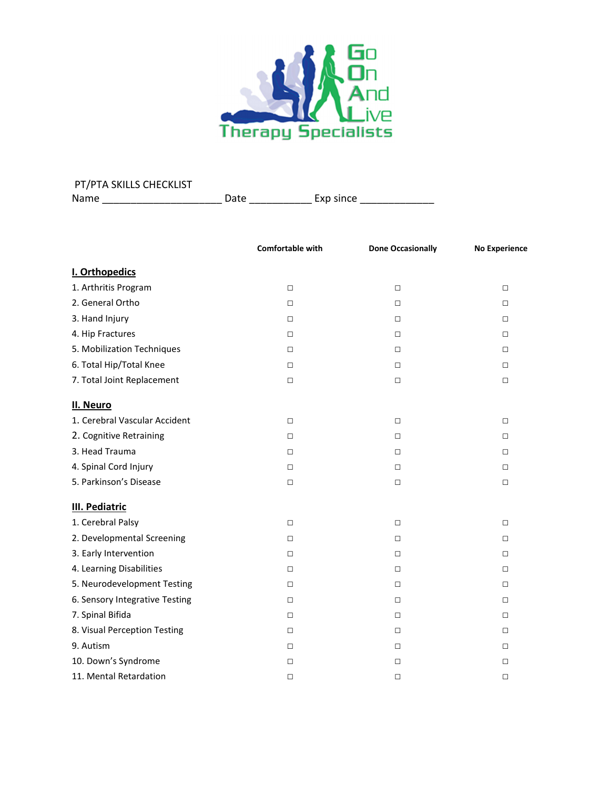

| PT/PTA SKILLS CHECKLIST |      |           |
|-------------------------|------|-----------|
| Name                    | Date | Exp since |

|                                | Comfortable with | <b>Done Occasionally</b> | <b>No Experience</b> |
|--------------------------------|------------------|--------------------------|----------------------|
| I. Orthopedics                 |                  |                          |                      |
| 1. Arthritis Program           | $\Box$           | $\Box$                   | $\Box$               |
| 2. General Ortho               | $\Box$           | $\Box$                   | □                    |
| 3. Hand Injury                 | $\Box$           | $\Box$                   | $\Box$               |
| 4. Hip Fractures               | $\Box$           | $\Box$                   | $\Box$               |
| 5. Mobilization Techniques     | $\Box$           | $\Box$                   | $\Box$               |
| 6. Total Hip/Total Knee        | $\Box$           | $\Box$                   | $\Box$               |
| 7. Total Joint Replacement     | $\Box$           | $\Box$                   | $\Box$               |
| II. Neuro                      |                  |                          |                      |
| 1. Cerebral Vascular Accident  | $\Box$           | $\Box$                   | $\Box$               |
| 2. Cognitive Retraining        | $\Box$           | $\Box$                   | $\Box$               |
| 3. Head Trauma                 | $\Box$           | $\Box$                   | □                    |
| 4. Spinal Cord Injury          | $\Box$           | $\Box$                   | $\Box$               |
| 5. Parkinson's Disease         | $\Box$           | $\Box$                   | $\Box$               |
| <b>III. Pediatric</b>          |                  |                          |                      |
| 1. Cerebral Palsy              | $\Box$           | $\Box$                   | □                    |
| 2. Developmental Screening     | $\Box$           | $\Box$                   | $\Box$               |
| 3. Early Intervention          | $\Box$           | $\Box$                   | □                    |
| 4. Learning Disabilities       | $\Box$           | $\Box$                   | □                    |
| 5. Neurodevelopment Testing    | $\Box$           | □                        | $\Box$               |
| 6. Sensory Integrative Testing | $\Box$           | □                        | □                    |
| 7. Spinal Bifida               | $\Box$           | □                        | □                    |
| 8. Visual Perception Testing   | $\Box$           | $\Box$                   | $\Box$               |
| 9. Autism                      | $\Box$           | $\Box$                   | □                    |
| 10. Down's Syndrome            | $\Box$           | $\Box$                   | □                    |
| 11. Mental Retardation         | $\Box$           | $\Box$                   | □                    |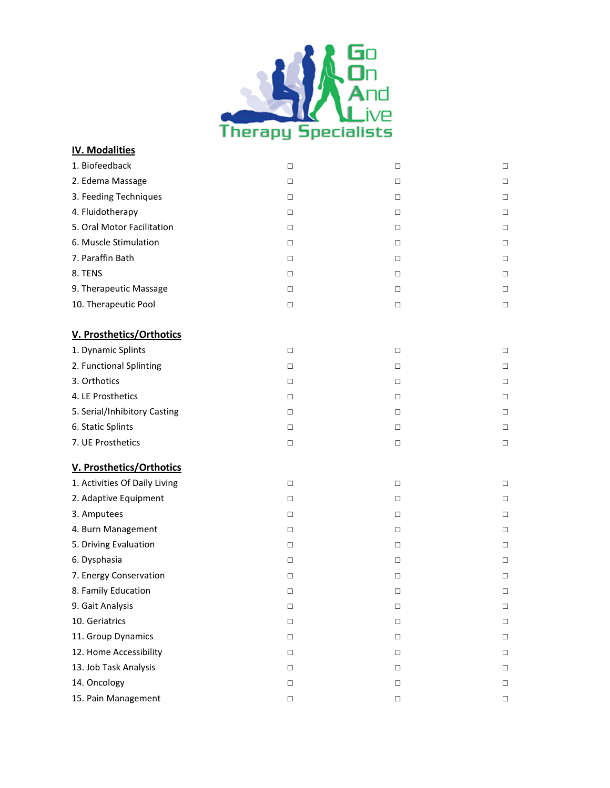

## **IV. Modalities**

| 1. Biofeedback                | □      | $\Box$ | $\Box$ |
|-------------------------------|--------|--------|--------|
| 2. Edema Massage              | $\Box$ | $\Box$ | $\Box$ |
| 3. Feeding Techniques         | $\Box$ | $\Box$ | $\Box$ |
| 4. Fluidotherapy              | $\Box$ | $\Box$ | $\Box$ |
| 5. Oral Motor Facilitation    | $\Box$ | $\Box$ | $\Box$ |
| 6. Muscle Stimulation         | $\Box$ | $\Box$ | $\Box$ |
| 7. Paraffin Bath              | $\Box$ | $\Box$ | $\Box$ |
| 8. TENS                       | $\Box$ | $\Box$ | $\Box$ |
| 9. Therapeutic Massage        | $\Box$ | $\Box$ | $\Box$ |
| 10. Therapeutic Pool          | $\Box$ | $\Box$ | $\Box$ |
| V. Prosthetics/Orthotics      |        |        |        |
| 1. Dynamic Splints            | $\Box$ | $\Box$ | $\Box$ |
| 2. Functional Splinting       | $\Box$ | $\Box$ | $\Box$ |
| 3. Orthotics                  | $\Box$ | $\Box$ | $\Box$ |
| 4. LE Prosthetics             | $\Box$ | $\Box$ | $\Box$ |
| 5. Serial/Inhibitory Casting  | $\Box$ | $\Box$ | $\Box$ |
| 6. Static Splints             | $\Box$ | $\Box$ | $\Box$ |
| 7. UE Prosthetics             | $\Box$ | $\Box$ | $\Box$ |
| V. Prosthetics/Orthotics      |        |        |        |
| 1. Activities Of Daily Living | $\Box$ | $\Box$ | $\Box$ |
| 2. Adaptive Equipment         | $\Box$ | $\Box$ | $\Box$ |
| 3. Amputees                   | $\Box$ | $\Box$ | $\Box$ |
| 4. Burn Management            | $\Box$ | $\Box$ | $\Box$ |
| 5. Driving Evaluation         | $\Box$ | $\Box$ | $\Box$ |
| 6. Dysphasia                  | $\Box$ | $\Box$ | $\Box$ |
| 7. Energy Conservation        | $\Box$ | $\Box$ | $\Box$ |
| 8. Family Education           | $\Box$ | $\Box$ | $\Box$ |
| 9. Gait Analysis              | □      | $\Box$ | $\Box$ |
| 10. Geriatrics                | □      | $\Box$ | $\Box$ |
| 11. Group Dynamics            | $\Box$ | $\Box$ | $\Box$ |
| 12. Home Accessibility        | $\Box$ | $\Box$ | $\Box$ |
| 13. Job Task Analysis         | $\Box$ | $\Box$ | $\Box$ |
| 14. Oncology                  | $\Box$ | $\Box$ | $\Box$ |
| 15. Pain Management           | $\Box$ | $\Box$ | $\Box$ |